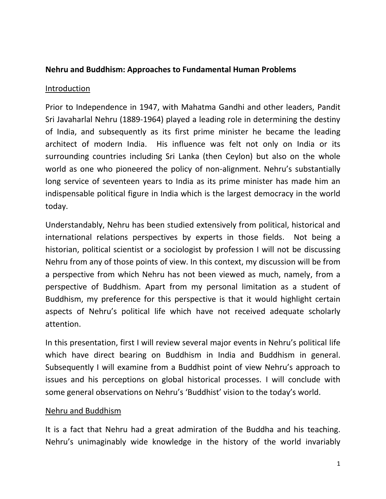## **Nehru and Buddhism: Approaches to Fundamental Human Problems**

#### Introduction

Prior to Independence in 1947, with Mahatma Gandhi and other leaders, Pandit Sri Javaharlal Nehru (1889-1964) played a leading role in determining the destiny of India, and subsequently as its first prime minister he became the leading architect of modern India. His influence was felt not only on India or its surrounding countries including Sri Lanka (then Ceylon) but also on the whole world as one who pioneered the policy of non-alignment. Nehru's substantially long service of seventeen years to India as its prime minister has made him an indispensable political figure in India which is the largest democracy in the world today.

Understandably, Nehru has been studied extensively from political, historical and international relations perspectives by experts in those fields. Not being a historian, political scientist or a sociologist by profession I will not be discussing Nehru from any of those points of view. In this context, my discussion will be from a perspective from which Nehru has not been viewed as much, namely, from a perspective of Buddhism. Apart from my personal limitation as a student of Buddhism, my preference for this perspective is that it would highlight certain aspects of Nehru's political life which have not received adequate scholarly attention.

In this presentation, first I will review several major events in Nehru's political life which have direct bearing on Buddhism in India and Buddhism in general. Subsequently I will examine from a Buddhist point of view Nehru's approach to issues and his perceptions on global historical processes. I will conclude with some general observations on Nehru's 'Buddhist' vision to the today's world.

### Nehru and Buddhism

It is a fact that Nehru had a great admiration of the Buddha and his teaching. Nehru's unimaginably wide knowledge in the history of the world invariably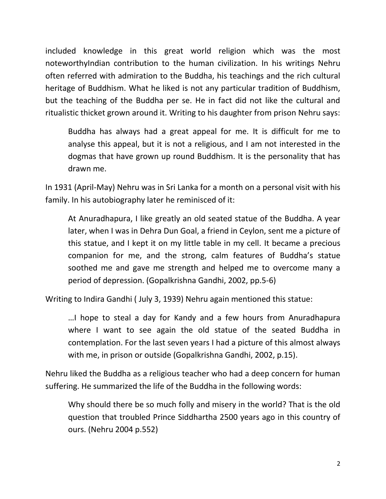included knowledge in this great world religion which was the most noteworthyIndian contribution to the human civilization. In his writings Nehru often referred with admiration to the Buddha, his teachings and the rich cultural heritage of Buddhism. What he liked is not any particular tradition of Buddhism, but the teaching of the Buddha per se. He in fact did not like the cultural and ritualistic thicket grown around it. Writing to his daughter from prison Nehru says:

Buddha has always had a great appeal for me. It is difficult for me to analyse this appeal, but it is not a religious, and I am not interested in the dogmas that have grown up round Buddhism. It is the personality that has drawn me.

In 1931 (April-May) Nehru was in Sri Lanka for a month on a personal visit with his family. In his autobiography later he reminisced of it:

At Anuradhapura, I like greatly an old seated statue of the Buddha. A year later, when I was in Dehra Dun Goal, a friend in Ceylon, sent me a picture of this statue, and I kept it on my little table in my cell. It became a precious companion for me, and the strong, calm features of Buddha's statue soothed me and gave me strength and helped me to overcome many a period of depression. (Gopalkrishna Gandhi, 2002, pp.5-6)

Writing to Indira Gandhi ( July 3, 1939) Nehru again mentioned this statue:

…I hope to steal a day for Kandy and a few hours from Anuradhapura where I want to see again the old statue of the seated Buddha in contemplation. For the last seven years I had a picture of this almost always with me, in prison or outside (Gopalkrishna Gandhi, 2002, p.15).

Nehru liked the Buddha as a religious teacher who had a deep concern for human suffering. He summarized the life of the Buddha in the following words:

Why should there be so much folly and misery in the world? That is the old question that troubled Prince Siddhartha 2500 years ago in this country of ours. (Nehru 2004 p.552)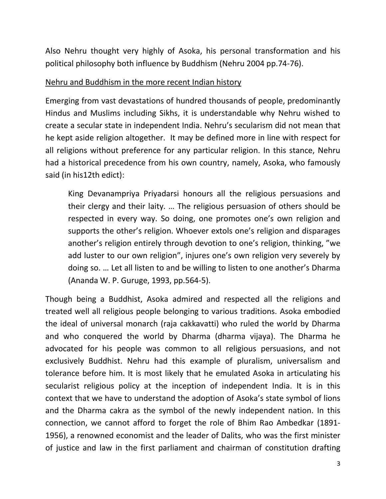Also Nehru thought very highly of Asoka, his personal transformation and his political philosophy both influence by Buddhism (Nehru 2004 pp.74-76).

## Nehru and Buddhism in the more recent Indian history

Emerging from vast devastations of hundred thousands of people, predominantly Hindus and Muslims including Sikhs, it is understandable why Nehru wished to create a secular state in independent India. Nehru's secularism did not mean that he kept aside religion altogether. It may be defined more in line with respect for all religions without preference for any particular religion. In this stance, Nehru had a historical precedence from his own country, namely, Asoka, who famously said (in his12th edict):

King Devanampriya Priyadarsi honours all the religious persuasions and their clergy and their laity. … The religious persuasion of others should be respected in every way. So doing, one promotes one's own religion and supports the other's religion. Whoever extols one's religion and disparages another's religion entirely through devotion to one's religion, thinking, "we add luster to our own religion", injures one's own religion very severely by doing so. … Let all listen to and be willing to listen to one another's Dharma (Ananda W. P. Guruge, 1993, pp.564-5).

Though being a Buddhist, Asoka admired and respected all the religions and treated well all religious people belonging to various traditions. Asoka embodied the ideal of universal monarch (raja cakkavatti) who ruled the world by Dharma and who conquered the world by Dharma (dharma vijaya). The Dharma he advocated for his people was common to all religious persuasions, and not exclusively Buddhist. Nehru had this example of pluralism, universalism and tolerance before him. It is most likely that he emulated Asoka in articulating his secularist religious policy at the inception of independent India. It is in this context that we have to understand the adoption of Asoka's state symbol of lions and the Dharma cakra as the symbol of the newly independent nation. In this connection, we cannot afford to forget the role of Bhim Rao Ambedkar (1891- 1956), a renowned economist and the leader of Dalits, who was the first minister of justice and law in the first parliament and chairman of constitution drafting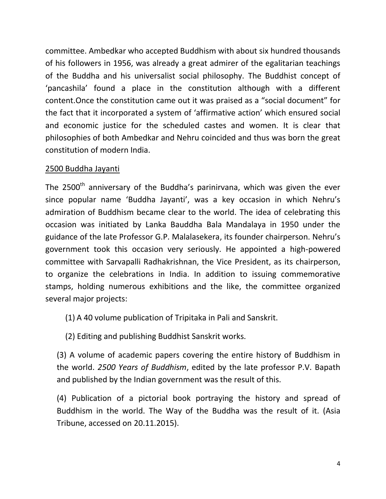committee. Ambedkar who accepted Buddhism with about six hundred thousands of his followers in 1956, was already a great admirer of the egalitarian teachings of the Buddha and his universalist social philosophy. The Buddhist concept of 'pancashila' found a place in the constitution although with a different content.Once the constitution came out it was praised as a "social document" for the fact that it incorporated a system of 'affirmative action' which ensured social and economic justice for the scheduled castes and women. It is clear that philosophies of both Ambedkar and Nehru coincided and thus was born the great constitution of modern India.

# 2500 Buddha Jayanti

The 2500<sup>th</sup> anniversary of the Buddha's parinirvana, which was given the ever since popular name 'Buddha Jayanti', was a key occasion in which Nehru's admiration of Buddhism became clear to the world. The idea of celebrating this occasion was initiated by Lanka Bauddha Bala Mandalaya in 1950 under the guidance of the late Professor G.P. Malalasekera, its founder chairperson. Nehru's government took this occasion very seriously. He appointed a high-powered committee with Sarvapalli Radhakrishnan, the Vice President, as its chairperson, to organize the celebrations in India. In addition to issuing commemorative stamps, holding numerous exhibitions and the like, the committee organized several major projects:

(1) A 40 volume publication of Tripitaka in Pali and Sanskrit.

(2) Editing and publishing Buddhist Sanskrit works.

(3) A volume of academic papers covering the entire history of Buddhism in the world. *2500 Years of Buddhism*, edited by the late professor P.V. Bapath and published by the Indian government was the result of this.

(4) Publication of a pictorial book portraying the history and spread of Buddhism in the world. The Way of the Buddha was the result of it. (Asia Tribune, accessed on 20.11.2015).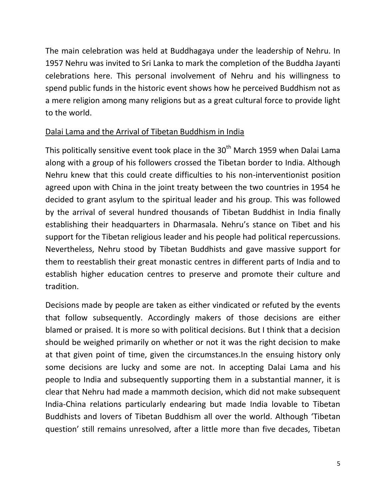The main celebration was held at Buddhagaya under the leadership of Nehru. In 1957 Nehru was invited to Sri Lanka to mark the completion of the Buddha Jayanti celebrations here. This personal involvement of Nehru and his willingness to spend public funds in the historic event shows how he perceived Buddhism not as a mere religion among many religions but as a great cultural force to provide light to the world.

# Dalai Lama and the Arrival of Tibetan Buddhism in India

This politically sensitive event took place in the 30<sup>th</sup> March 1959 when Dalai Lama along with a group of his followers crossed the Tibetan border to India. Although Nehru knew that this could create difficulties to his non-interventionist position agreed upon with China in the joint treaty between the two countries in 1954 he decided to grant asylum to the spiritual leader and his group. This was followed by the arrival of several hundred thousands of Tibetan Buddhist in India finally establishing their headquarters in Dharmasala. Nehru's stance on Tibet and his support for the Tibetan religious leader and his people had political repercussions. Nevertheless, Nehru stood by Tibetan Buddhists and gave massive support for them to reestablish their great monastic centres in different parts of India and to establish higher education centres to preserve and promote their culture and tradition.

Decisions made by people are taken as either vindicated or refuted by the events that follow subsequently. Accordingly makers of those decisions are either blamed or praised. It is more so with political decisions. But I think that a decision should be weighed primarily on whether or not it was the right decision to make at that given point of time, given the circumstances.In the ensuing history only some decisions are lucky and some are not. In accepting Dalai Lama and his people to India and subsequently supporting them in a substantial manner, it is clear that Nehru had made a mammoth decision, which did not make subsequent India-China relations particularly endearing but made India lovable to Tibetan Buddhists and lovers of Tibetan Buddhism all over the world. Although 'Tibetan question' still remains unresolved, after a little more than five decades, Tibetan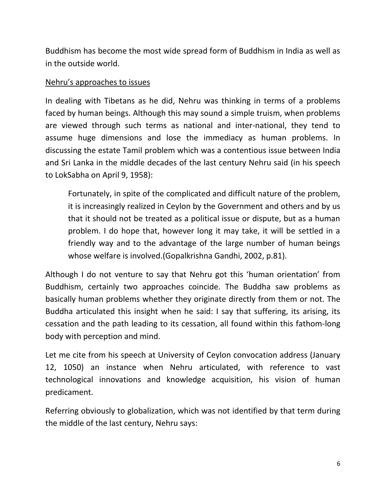Buddhism has become the most wide spread form of Buddhism in India as well as in the outside world.

### Nehru's approaches to issues

In dealing with Tibetans as he did, Nehru was thinking in terms of a problems faced by human beings. Although this may sound a simple truism, when problems are viewed through such terms as national and inter-national, they tend to assume huge dimensions and lose the immediacy as human problems. In discussing the estate Tamil problem which was a contentious issue between India and Sri Lanka in the middle decades of the last century Nehru said (in his speech to LokSabha on April 9, 1958):

Fortunately, in spite of the complicated and difficult nature of the problem, it is increasingly realized in Ceylon by the Government and others and by us that it should not be treated as a political issue or dispute, but as a human problem. I do hope that, however long it may take, it will be settled in a friendly way and to the advantage of the large number of human beings whose welfare is involved.(Gopalkrishna Gandhi, 2002, p.81).

Although I do not venture to say that Nehru got this 'human orientation' from Buddhism, certainly two approaches coincide. The Buddha saw problems as basically human problems whether they originate directly from them or not. The Buddha articulated this insight when he said: I say that suffering, its arising, its cessation and the path leading to its cessation, all found within this fathom-long body with perception and mind.

Let me cite from his speech at University of Ceylon convocation address (January 12, 1050) an instance when Nehru articulated, with reference to vast technological innovations and knowledge acquisition, his vision of human predicament.

Referring obviously to globalization, which was not identified by that term during the middle of the last century, Nehru says: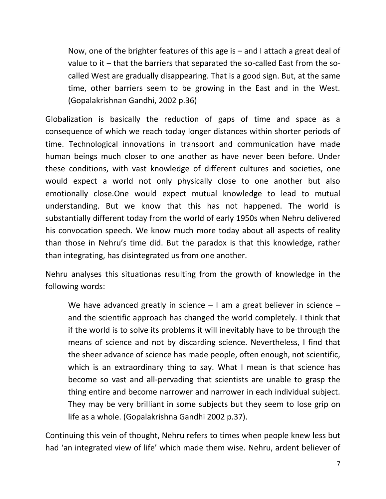Now, one of the brighter features of this age is – and I attach a great deal of value to it – that the barriers that separated the so-called East from the socalled West are gradually disappearing. That is a good sign. But, at the same time, other barriers seem to be growing in the East and in the West. (Gopalakrishnan Gandhi, 2002 p.36)

Globalization is basically the reduction of gaps of time and space as a consequence of which we reach today longer distances within shorter periods of time. Technological innovations in transport and communication have made human beings much closer to one another as have never been before. Under these conditions, with vast knowledge of different cultures and societies, one would expect a world not only physically close to one another but also emotionally close.One would expect mutual knowledge to lead to mutual understanding. But we know that this has not happened. The world is substantially different today from the world of early 1950s when Nehru delivered his convocation speech. We know much more today about all aspects of reality than those in Nehru's time did. But the paradox is that this knowledge, rather than integrating, has disintegrated us from one another.

Nehru analyses this situationas resulting from the growth of knowledge in the following words:

We have advanced greatly in science  $-1$  am a great believer in science  $$ and the scientific approach has changed the world completely. I think that if the world is to solve its problems it will inevitably have to be through the means of science and not by discarding science. Nevertheless, I find that the sheer advance of science has made people, often enough, not scientific, which is an extraordinary thing to say. What I mean is that science has become so vast and all-pervading that scientists are unable to grasp the thing entire and become narrower and narrower in each individual subject. They may be very brilliant in some subjects but they seem to lose grip on life as a whole. (Gopalakrishna Gandhi 2002 p.37).

Continuing this vein of thought, Nehru refers to times when people knew less but had 'an integrated view of life' which made them wise. Nehru, ardent believer of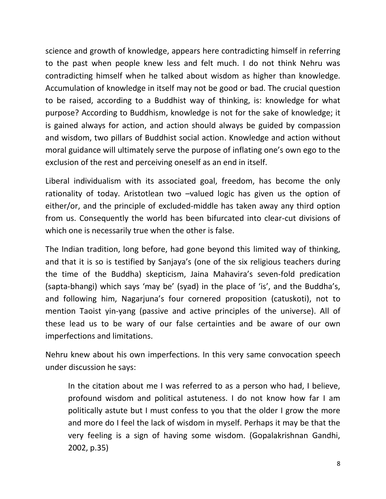science and growth of knowledge, appears here contradicting himself in referring to the past when people knew less and felt much. I do not think Nehru was contradicting himself when he talked about wisdom as higher than knowledge. Accumulation of knowledge in itself may not be good or bad. The crucial question to be raised, according to a Buddhist way of thinking, is: knowledge for what purpose? According to Buddhism, knowledge is not for the sake of knowledge; it is gained always for action, and action should always be guided by compassion and wisdom, two pillars of Buddhist social action. Knowledge and action without moral guidance will ultimately serve the purpose of inflating one's own ego to the exclusion of the rest and perceiving oneself as an end in itself.

Liberal individualism with its associated goal, freedom, has become the only rationality of today. Aristotlean two –valued logic has given us the option of either/or, and the principle of excluded-middle has taken away any third option from us. Consequently the world has been bifurcated into clear-cut divisions of which one is necessarily true when the other is false.

The Indian tradition, long before, had gone beyond this limited way of thinking, and that it is so is testified by Sanjaya's (one of the six religious teachers during the time of the Buddha) skepticism, Jaina Mahavira's seven-fold predication (sapta-bhangi) which says 'may be' (syad) in the place of 'is', and the Buddha's, and following him, Nagarjuna's four cornered proposition (catuskoti), not to mention Taoist yin-yang (passive and active principles of the universe). All of these lead us to be wary of our false certainties and be aware of our own imperfections and limitations.

Nehru knew about his own imperfections. In this very same convocation speech under discussion he says:

In the citation about me I was referred to as a person who had, I believe, profound wisdom and political astuteness. I do not know how far I am politically astute but I must confess to you that the older I grow the more and more do I feel the lack of wisdom in myself. Perhaps it may be that the very feeling is a sign of having some wisdom. (Gopalakrishnan Gandhi, 2002, p.35)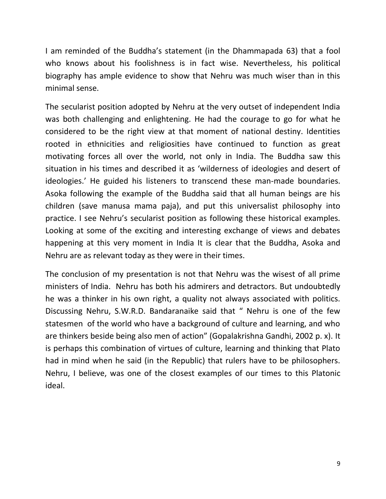I am reminded of the Buddha's statement (in the Dhammapada 63) that a fool who knows about his foolishness is in fact wise. Nevertheless, his political biography has ample evidence to show that Nehru was much wiser than in this minimal sense.

The secularist position adopted by Nehru at the very outset of independent India was both challenging and enlightening. He had the courage to go for what he considered to be the right view at that moment of national destiny. Identities rooted in ethnicities and religiosities have continued to function as great motivating forces all over the world, not only in India. The Buddha saw this situation in his times and described it as 'wilderness of ideologies and desert of ideologies.' He guided his listeners to transcend these man-made boundaries. Asoka following the example of the Buddha said that all human beings are his children (save manusa mama paja), and put this universalist philosophy into practice. I see Nehru's secularist position as following these historical examples. Looking at some of the exciting and interesting exchange of views and debates happening at this very moment in India It is clear that the Buddha, Asoka and Nehru are as relevant today as they were in their times.

The conclusion of my presentation is not that Nehru was the wisest of all prime ministers of India. Nehru has both his admirers and detractors. But undoubtedly he was a thinker in his own right, a quality not always associated with politics. Discussing Nehru, S.W.R.D. Bandaranaike said that " Nehru is one of the few statesmen of the world who have a background of culture and learning, and who are thinkers beside being also men of action" (Gopalakrishna Gandhi, 2002 p. x). It is perhaps this combination of virtues of culture, learning and thinking that Plato had in mind when he said (in the Republic) that rulers have to be philosophers. Nehru, I believe, was one of the closest examples of our times to this Platonic ideal.